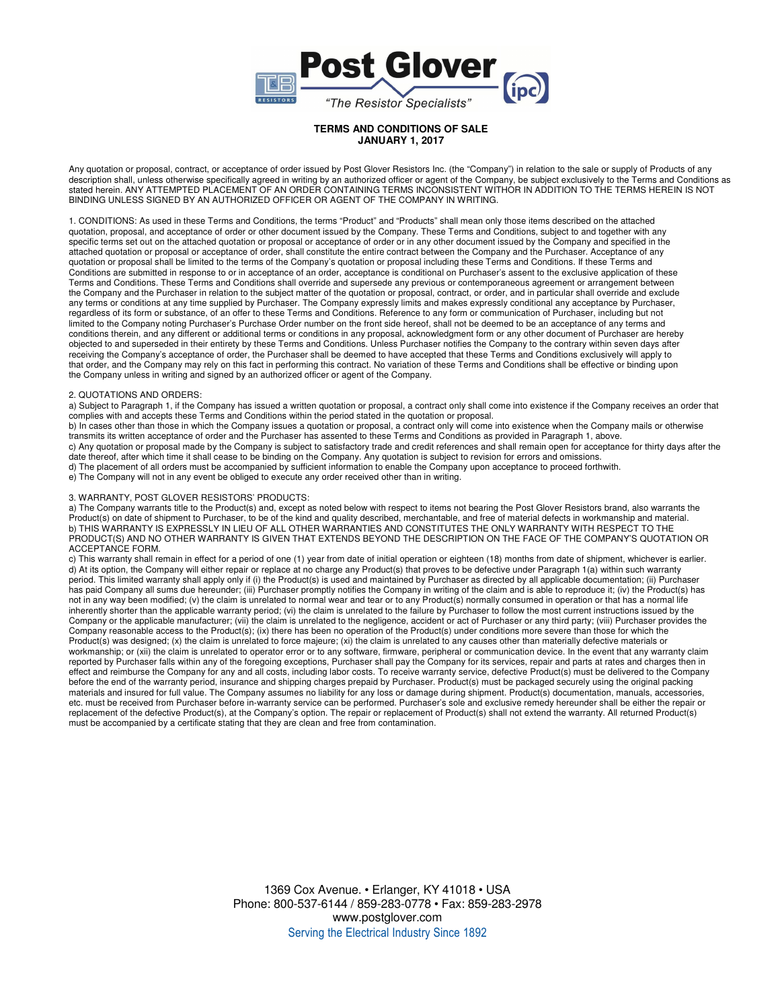

Any quotation or proposal, contract, or acceptance of order issued by Post Glover Resistors Inc. (the "Company") in relation to the sale or supply of Products of any description shall, unless otherwise specifically agreed in writing by an authorized officer or agent of the Company, be subject exclusively to the Terms and Conditions as stated herein. ANY ATTEMPTED PLACEMENT OF AN ORDER CONTAINING TERMS INCONSISTENT WITHOR IN ADDITION TO THE TERMS HEREIN IS NOT BINDING UNLESS SIGNED BY AN AUTHORIZED OFFICER OR AGENT OF THE COMPANY IN WRITING.

1. CONDITIONS: As used in these Terms and Conditions, the terms "Product" and "Products" shall mean only those items described on the attached quotation, proposal, and acceptance of order or other document issued by the Company. These Terms and Conditions, subject to and together with any specific terms set out on the attached quotation or proposal or acceptance of order or in any other document issued by the Company and specified in the attached quotation or proposal or acceptance of order, shall constitute the entire contract between the Company and the Purchaser. Acceptance of any quotation or proposal shall be limited to the terms of the Company's quotation or proposal including these Terms and Conditions. If these Terms and Conditions are submitted in response to or in acceptance of an order, acceptance is conditional on Purchaser's assent to the exclusive application of these Terms and Conditions. These Terms and Conditions shall override and supersede any previous or contemporaneous agreement or arrangement between the Company and the Purchaser in relation to the subject matter of the quotation or proposal, contract, or order, and in particular shall override and exclude any terms or conditions at any time supplied by Purchaser. The Company expressly limits and makes expressly conditional any acceptance by Purchaser, regardless of its form or substance, of an offer to these Terms and Conditions. Reference to any form or communication of Purchaser, including but not limited to the Company noting Purchaser's Purchase Order number on the front side hereof, shall not be deemed to be an acceptance of any terms and conditions therein, and any different or additional terms or conditions in any proposal, acknowledgment form or any other document of Purchaser are hereby objected to and superseded in their entirety by these Terms and Conditions. Unless Purchaser notifies the Company to the contrary within seven days after receiving the Company's acceptance of order, the Purchaser shall be deemed to have accepted that these Terms and Conditions exclusively will apply to that order, and the Company may rely on this fact in performing this contract. No variation of these Terms and Conditions shall be effective or binding upon the Company unless in writing and signed by an authorized officer or agent of the Company.

### 2. QUOTATIONS AND ORDERS:

a) Subject to Paragraph 1, if the Company has issued a written quotation or proposal, a contract only shall come into existence if the Company receives an order that complies with and accepts these Terms and Conditions within the period stated in the quotation or proposal.

b) In cases other than those in which the Company issues a quotation or proposal, a contract only will come into existence when the Company mails or otherwise transmits its written acceptance of order and the Purchaser has assented to these Terms and Conditions as provided in Paragraph 1, above.

c) Any quotation or proposal made by the Company is subject to satisfactory trade and credit references and shall remain open for acceptance for thirty days after the date thereof, after which time it shall cease to be binding on the Company. Any quotation is subject to revision for errors and omissions.

d) The placement of all orders must be accompanied by sufficient information to enable the Company upon acceptance to proceed forthwith.

e) The Company will not in any event be obliged to execute any order received other than in writing.

### 3. WARRANTY, POST GLOVER RESISTORS' PRODUCTS:

a) The Company warrants title to the Product(s) and, except as noted below with respect to items not bearing the Post Glover Resistors brand, also warrants the Product(s) on date of shipment to Purchaser, to be of the kind and quality described, merchantable, and free of material defects in workmanship and material. b) THIS WARRANTY IS EXPRESSLY IN LIEU OF ALL OTHER WARRANTIES AND CONSTITUTES THE ONLY WARRANTY WITH RESPECT TO THE PRODUCT(S) AND NO OTHER WARRANTY IS GIVEN THAT EXTENDS BEYOND THE DESCRIPTION ON THE FACE OF THE COMPANY'S QUOTATION OR ACCEPTANCE FORM.

c) This warranty shall remain in effect for a period of one (1) year from date of initial operation or eighteen (18) months from date of shipment, whichever is earlier. d) At its option, the Company will either repair or replace at no charge any Product(s) that proves to be defective under Paragraph 1(a) within such warranty period. This limited warranty shall apply only if (i) the Product(s) is used and maintained by Purchaser as directed by all applicable documentation; (ii) Purchaser has paid Company all sums due hereunder; (iii) Purchaser promptly notifies the Company in writing of the claim and is able to reproduce it; (iv) the Product(s) has not in any way been modified; (v) the claim is unrelated to normal wear and tear or to any Product(s) normally consumed in operation or that has a normal life inherently shorter than the applicable warranty period; (vi) the claim is unrelated to the failure by Purchaser to follow the most current instructions issued by the Company or the applicable manufacturer; (vii) the claim is unrelated to the negligence, accident or act of Purchaser or any third party; (viii) Purchaser provides the Company reasonable access to the Product(s); (ix) there has been no operation of the Product(s) under conditions more severe than those for which the Product(s) was designed; (x) the claim is unrelated to force majeure; (xi) the claim is unrelated to any causes other than materially defective materials or workmanship; or (xii) the claim is unrelated to operator error or to any software, firmware, peripheral or communication device. In the event that any warranty claim reported by Purchaser falls within any of the foregoing exceptions, Purchaser shall pay the Company for its services, repair and parts at rates and charges then in effect and reimburse the Company for any and all costs, including labor costs. To receive warranty service, defective Product(s) must be delivered to the Company before the end of the warranty period, insurance and shipping charges prepaid by Purchaser. Product(s) must be packaged securely using the original packing materials and insured for full value. The Company assumes no liability for any loss or damage during shipment. Product(s) documentation, manuals, accessories, etc. must be received from Purchaser before in-warranty service can be performed. Purchaser's sole and exclusive remedy hereunder shall be either the repair or replacement of the defective Product(s), at the Company's option. The repair or replacement of Product(s) shall not extend the warranty. All returned Product(s) must be accompanied by a certificate stating that they are clean and free from contamination.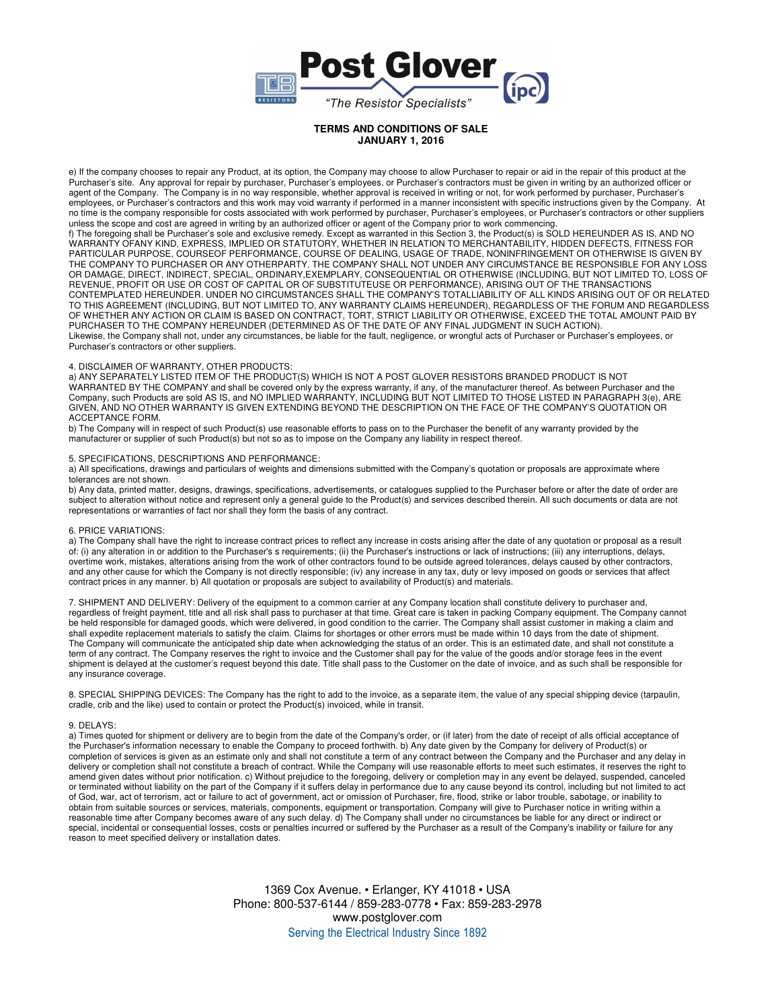

e) If the company chooses to repair any Product, at its option, the Company may choose to allow Purchaser to repair or aid in the repair of this product at the Purchaser's site. Any approval for repair by purchaser, Purchaser's employees, or Purchaser's contractors must be given in writing by an authorized officer or agent of the Company. The Company is in no way responsible, whether approval is received in writing or not, for work performed by purchaser, Purchaser's employees, or Purchaser's contractors and this work may void warranty if performed in a manner inconsistent with specific instructions given by the Company. At no time is the company responsible for costs associated with work performed by purchaser, Purchaser's employees, or Purchaser's contractors or other suppliers unless the scope and cost are agreed in writing by an authorized officer or agent of the Company prior to work commencing.

f) The foregoing shall be Purchaser's sole and exclusive remedy. Except as warranted in this Section 3, the Product(s) is SOLD HEREUNDER AS IS, AND NO WARRANTY OFANY KIND, EXPRESS, IMPLIED OR STATUTORY, WHETHER IN RELATION TO MERCHANTABILITY, HIDDEN DEFECTS, FITNESS FOR PARTICULAR PURPOSE, COURSEOF PERFORMANCE, COURSE OF DEALING, USAGE OF TRADE, NONINFRINGEMENT OR OTHERWISE IS GIVEN BY THE COMPANY TO PURCHASER OR ANY OTHERPARTY. THE COMPANY SHALL NOT UNDER ANY CIRCUMSTANCE BE RESPONSIBLE FOR ANY LOSS OR DAMAGE, DIRECT, INDIRECT, SPECIAL, ORDINARY,EXEMPLARY, CONSEQUENTIAL OR OTHERWISE (INCLUDING, BUT NOT LIMITED TO, LOSS OF REVENUE, PROFIT OR USE OR COST OF CAPITAL OR OF SUBSTITUTEUSE OR PERFORMANCE), ARISING OUT OF THE TRANSACTIONS CONTEMPLATED HEREUNDER. UNDER NO CIRCUMSTANCES SHALL THE COMPANY'S TOTALLIABILITY OF ALL KINDS ARISING OUT OF OR RELATED TO THIS AGREEMENT (INCLUDING, BUT NOT LIMITED TO, ANY WARRANTY CLAIMS HEREUNDER), REGARDLESS OF THE FORUM AND REGARDLESS OF WHETHER ANY ACTION OR CLAIM IS BASED ON CONTRACT, TORT, STRICT LIABILITY OR OTHERWISE, EXCEED THE TOTAL AMOUNT PAID BY PURCHASER TO THE COMPANY HEREUNDER (DETERMINED AS OF THE DATE OF ANY FINAL JUDGMENT IN SUCH ACTION). Likewise, the Company shall not, under any circumstances, be liable for the fault, negligence, or wrongful acts of Purchaser or Purchaser's employees, or Purchaser's contractors or other suppliers.

### 4. DISCLAIMER OF WARRANTY, OTHER PRODUCTS:

a) ANY SEPARATELY LISTED ITEM OF THE PRODUCT(S) WHICH IS NOT A POST GLOVER RESISTORS BRANDED PRODUCT IS NOT WARRANTED BY THE COMPANY and shall be covered only by the express warranty, if any, of the manufacturer thereof. As between Purchaser and the Company, such Products are sold AS IS, and NO IMPLIED WARRANTY, INCLUDING BUT NOT LIMITED TO THOSE LISTED IN PARAGRAPH 3(e), ARE GIVEN, AND NO OTHER WARRANTY IS GIVEN EXTENDING BEYOND THE DESCRIPTION ON THE FACE OF THE COMPANY'S QUOTATION OR ACCEPTANCE FORM.

b) The Company will in respect of such Product(s) use reasonable efforts to pass on to the Purchaser the benefit of any warranty provided by the manufacturer or supplier of such Product(s) but not so as to impose on the Company any liability in respect thereof.

#### 5. SPECIFICATIONS, DESCRIPTIONS AND PERFORMANCE:

a) All specifications, drawings and particulars of weights and dimensions submitted with the Company's quotation or proposals are approximate where tolerances are not shown.

b) Any data, printed matter, designs, drawings, specifications, advertisements, or catalogues supplied to the Purchaser before or after the date of order are subject to alteration without notice and represent only a general guide to the Product(s) and services described therein. All such documents or data are not representations or warranties of fact nor shall they form the basis of any contract.

## 6. PRICE VARIATIONS:

a) The Company shall have the right to increase contract prices to reflect any increase in costs arising after the date of any quotation or proposal as a result of: (i) any alteration in or addition to the Purchaser's s requirements; (ii) the Purchaser's instructions or lack of instructions; (iii) any interruptions, delays, overtime work, mistakes, alterations arising from the work of other contractors found to be outside agreed tolerances, delays caused by other contractors, and any other cause for which the Company is not directly responsible; (iv) any increase in any tax, duty or levy imposed on goods or services that affect contract prices in any manner. b) All quotation or proposals are subject to availability of Product(s) and materials.

7. SHIPMENT AND DELIVERY: Delivery of the equipment to a common carrier at any Company location shall constitute delivery to purchaser and, regardless of freight payment, title and all risk shall pass to purchaser at that time. Great care is taken in packing Company equipment. The Company cannot be held responsible for damaged goods, which were delivered, in good condition to the carrier. The Company shall assist customer in making a claim and shall expedite replacement materials to satisfy the claim. Claims for shortages or other errors must be made within 10 days from the date of shipment. The Company will communicate the anticipated ship date when acknowledging the status of an order. This is an estimated date, and shall not constitute a term of any contract. The Company reserves the right to invoice and the Customer shall pay for the value of the goods and/or storage fees in the event shipment is delayed at the customer's request beyond this date. Title shall pass to the Customer on the date of invoice, and as such shall be responsible for any insurance coverage.

8. SPECIAL SHIPPING DEVICES: The Company has the right to add to the invoice, as a separate item, the value of any special shipping device (tarpaulin, cradle, crib and the like) used to contain or protect the Product(s) invoiced, while in transit.

#### 9. DELAYS:

a) Times quoted for shipment or delivery are to begin from the date of the Company's order, or (if later) from the date of receipt of alls official acceptance of the Purchaser's information necessary to enable the Company to proceed forthwith. b) Any date given by the Company for delivery of Product(s) or completion of services is given as an estimate only and shall not constitute a term of any contract between the Company and the Purchaser and any delay in delivery or completion shall not constitute a breach of contract. While the Company will use reasonable efforts to meet such estimates, it reserves the right to amend given dates without prior notification. c) Without prejudice to the foregoing, delivery or completion may in any event be delayed, suspended, canceled or terminated without liability on the part of the Company if it suffers delay in performance due to any cause beyond its control, including but not limited to act of God, war, act of terrorism, act or failure to act of government, act or omission of Purchaser, fire, flood, strike or labor trouble, sabotage, or inability to obtain from suitable sources or services, materials, components, equipment or transportation. Company will give to Purchaser notice in writing within a reasonable time after Company becomes aware of any such delay. d) The Company shall under no circumstances be liable for any direct or indirect or special, incidental or consequential losses, costs or penalties incurred or suffered by the Purchaser as a result of the Company's inability or failure for any reason to meet specified delivery or installation dates.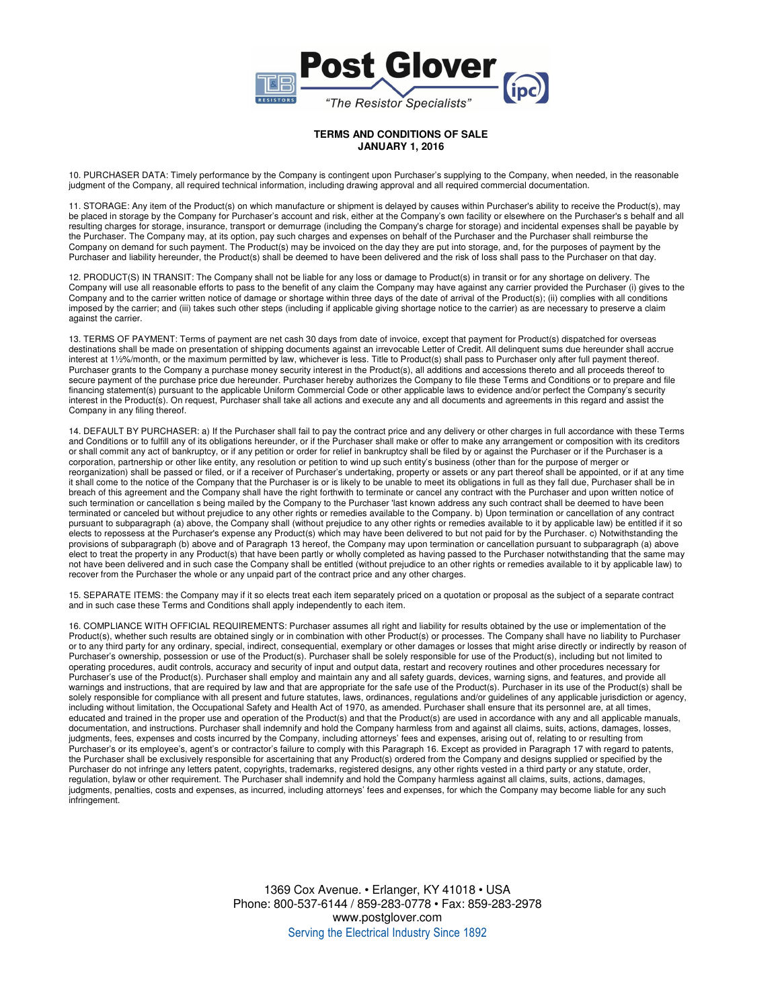

10. PURCHASER DATA: Timely performance by the Company is contingent upon Purchaser's supplying to the Company, when needed, in the reasonable judgment of the Company, all required technical information, including drawing approval and all required commercial documentation.

11. STORAGE: Any item of the Product(s) on which manufacture or shipment is delayed by causes within Purchaser's ability to receive the Product(s), may be placed in storage by the Company for Purchaser's account and risk, either at the Company's own facility or elsewhere on the Purchaser's s behalf and all resulting charges for storage, insurance, transport or demurrage (including the Company's charge for storage) and incidental expenses shall be payable by the Purchaser. The Company may, at its option, pay such charges and expenses on behalf of the Purchaser and the Purchaser shall reimburse the Company on demand for such payment. The Product(s) may be invoiced on the day they are put into storage, and, for the purposes of payment by the Purchaser and liability hereunder, the Product(s) shall be deemed to have been delivered and the risk of loss shall pass to the Purchaser on that day.

12. PRODUCT(S) IN TRANSIT: The Company shall not be liable for any loss or damage to Product(s) in transit or for any shortage on delivery. The Company will use all reasonable efforts to pass to the benefit of any claim the Company may have against any carrier provided the Purchaser (i) gives to the Company and to the carrier written notice of damage or shortage within three days of the date of arrival of the Product(s); (ii) complies with all conditions imposed by the carrier; and (iii) takes such other steps (including if applicable giving shortage notice to the carrier) as are necessary to preserve a claim against the carrier.

13. TERMS OF PAYMENT: Terms of payment are net cash 30 days from date of invoice, except that payment for Product(s) dispatched for overseas destinations shall be made on presentation of shipping documents against an irrevocable Letter of Credit. All delinquent sums due hereunder shall accrue interest at 1½%/month, or the maximum permitted by law, whichever is less. Title to Product(s) shall pass to Purchaser only after full payment thereof. Purchaser grants to the Company a purchase money security interest in the Product(s), all additions and accessions thereto and all proceeds thereof to secure payment of the purchase price due hereunder. Purchaser hereby authorizes the Company to file these Terms and Conditions or to prepare and file financing statement(s) pursuant to the applicable Uniform Commercial Code or other applicable laws to evidence and/or perfect the Company's security interest in the Product(s). On request, Purchaser shall take all actions and execute any and all documents and agreements in this regard and assist the Company in any filing thereof.

14. DEFAULT BY PURCHASER: a) If the Purchaser shall fail to pay the contract price and any delivery or other charges in full accordance with these Terms and Conditions or to fulfill any of its obligations hereunder, or if the Purchaser shall make or offer to make any arrangement or composition with its creditors or shall commit any act of bankruptcy, or if any petition or order for relief in bankruptcy shall be filed by or against the Purchaser or if the Purchaser is a corporation, partnership or other like entity, any resolution or petition to wind up such entity's business (other than for the purpose of merger or reorganization) shall be passed or filed, or if a receiver of Purchaser's undertaking, property or assets or any part thereof shall be appointed, or if at any time it shall come to the notice of the Company that the Purchaser is or is likely to be unable to meet its obligations in full as they fall due, Purchaser shall be in breach of this agreement and the Company shall have the right forthwith to terminate or cancel any contract with the Purchaser and upon written notice of such termination or cancellation s being mailed by the Company to the Purchaser 'last known address any such contract shall be deemed to have been terminated or canceled but without prejudice to any other rights or remedies available to the Company. b) Upon termination or cancellation of any contract pursuant to subparagraph (a) above, the Company shall (without prejudice to any other rights or remedies available to it by applicable law) be entitled if it so elects to repossess at the Purchaser's expense any Product(s) which may have been delivered to but not paid for by the Purchaser. c) Notwithstanding the provisions of subparagraph (b) above and of Paragraph 13 hereof, the Company may upon termination or cancellation pursuant to subparagraph (a) above elect to treat the property in any Product(s) that have been partly or wholly completed as having passed to the Purchaser notwithstanding that the same may not have been delivered and in such case the Company shall be entitled (without prejudice to an other rights or remedies available to it by applicable law) to recover from the Purchaser the whole or any unpaid part of the contract price and any other charges.

15. SEPARATE ITEMS: the Company may if it so elects treat each item separately priced on a quotation or proposal as the subject of a separate contract and in such case these Terms and Conditions shall apply independently to each item.

16. COMPLIANCE WITH OFFICIAL REQUIREMENTS: Purchaser assumes all right and liability for results obtained by the use or implementation of the Product(s), whether such results are obtained singly or in combination with other Product(s) or processes. The Company shall have no liability to Purchaser or to any third party for any ordinary, special, indirect, consequential, exemplary or other damages or losses that might arise directly or indirectly by reason of Purchaser's ownership, possession or use of the Product(s). Purchaser shall be solely responsible for use of the Product(s), including but not limited to operating procedures, audit controls, accuracy and security of input and output data, restart and recovery routines and other procedures necessary for Purchaser's use of the Product(s). Purchaser shall employ and maintain any and all safety guards, devices, warning signs, and features, and provide all warnings and instructions, that are required by law and that are appropriate for the safe use of the Product(s). Purchaser in its use of the Product(s) shall be solely responsible for compliance with all present and future statutes, laws, ordinances, regulations and/or guidelines of any applicable jurisdiction or agency, including without limitation, the Occupational Safety and Health Act of 1970, as amended. Purchaser shall ensure that its personnel are, at all times, educated and trained in the proper use and operation of the Product(s) and that the Product(s) are used in accordance with any and all applicable manuals, documentation, and instructions. Purchaser shall indemnify and hold the Company harmless from and against all claims, suits, actions, damages, losses, judgments, fees, expenses and costs incurred by the Company, including attorneys' fees and expenses, arising out of, relating to or resulting from Purchaser's or its employee's, agent's or contractor's failure to comply with this Paragraph 16. Except as provided in Paragraph 17 with regard to patents, the Purchaser shall be exclusively responsible for ascertaining that any Product(s) ordered from the Company and designs supplied or specified by the Purchaser do not infringe any letters patent, copyrights, trademarks, registered designs, any other rights vested in a third party or any statute, order, regulation, bylaw or other requirement. The Purchaser shall indemnify and hold the Company harmless against all claims, suits, actions, damages, judgments, penalties, costs and expenses, as incurred, including attorneys' fees and expenses, for which the Company may become liable for any such infringement.